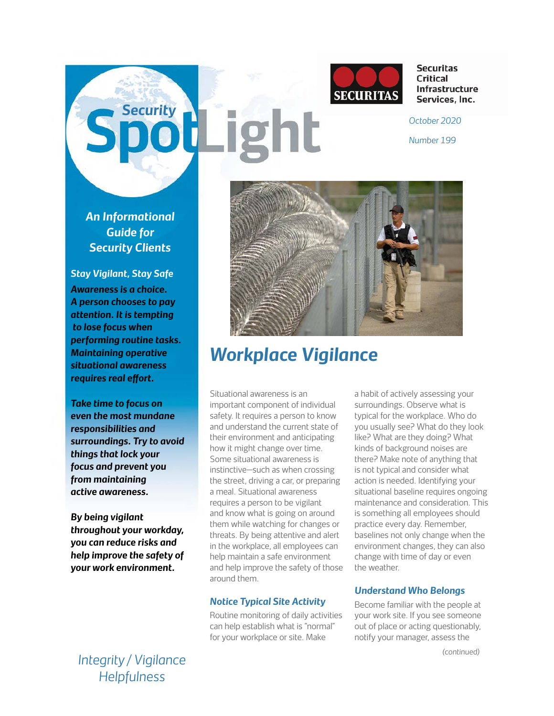

**Securitas Critical** Infrastructure Services, Inc.

**Security <b>Party Property** *C December 2020* 

*Number 199*

*An Informational Guide for Security Clients*

*Stay Vigilant, Stay Safe Awareness is a choice. A person chooses to pay attention. It is tempting to lose focus when performing routine tasks. Maintaining operative situational awareness requires real effort.* 

*Take time to focus on even the most mundane responsibilities and surroundings. Try to avoid things that lock your focus and prevent you from maintaining active awareness.* 

*By being vigilant throughout your workday, you can reduce risks and help improve the safety of your work environment.*

*Integrity / Vigilance Helpfulness*



# *Workplace Vigilance*

Situational awareness is an important component of individual safety. It requires a person to know and understand the current state of their environment and anticipating how it might change over time. Some situational awareness is instinctive—such as when crossing the street, driving a car, or preparing a meal. Situational awareness requires a person to be vigilant and know what is going on around them while watching for changes or threats. By being attentive and alert in the workplace, all employees can help maintain a safe environment and help improve the safety of those around them.

### *Notice Typical Site Activity*

Routine monitoring of daily activities can help establish what is "normal" for your workplace or site. Make

a habit of actively assessing your surroundings. Observe what is typical for the workplace. Who do you usually see? What do they look like? What are they doing? What kinds of background noises are there? Make note of anything that is not typical and consider what action is needed. Identifying your situational baseline requires ongoing maintenance and consideration. This is something all employees should practice every day. Remember, baselines not only change when the environment changes, they can also change with time of day or even the weather.

### *Understand Who Belongs*

Become familiar with the people at your work site. If you see someone out of place or acting questionably, notify your manager, assess the

*(continued)*